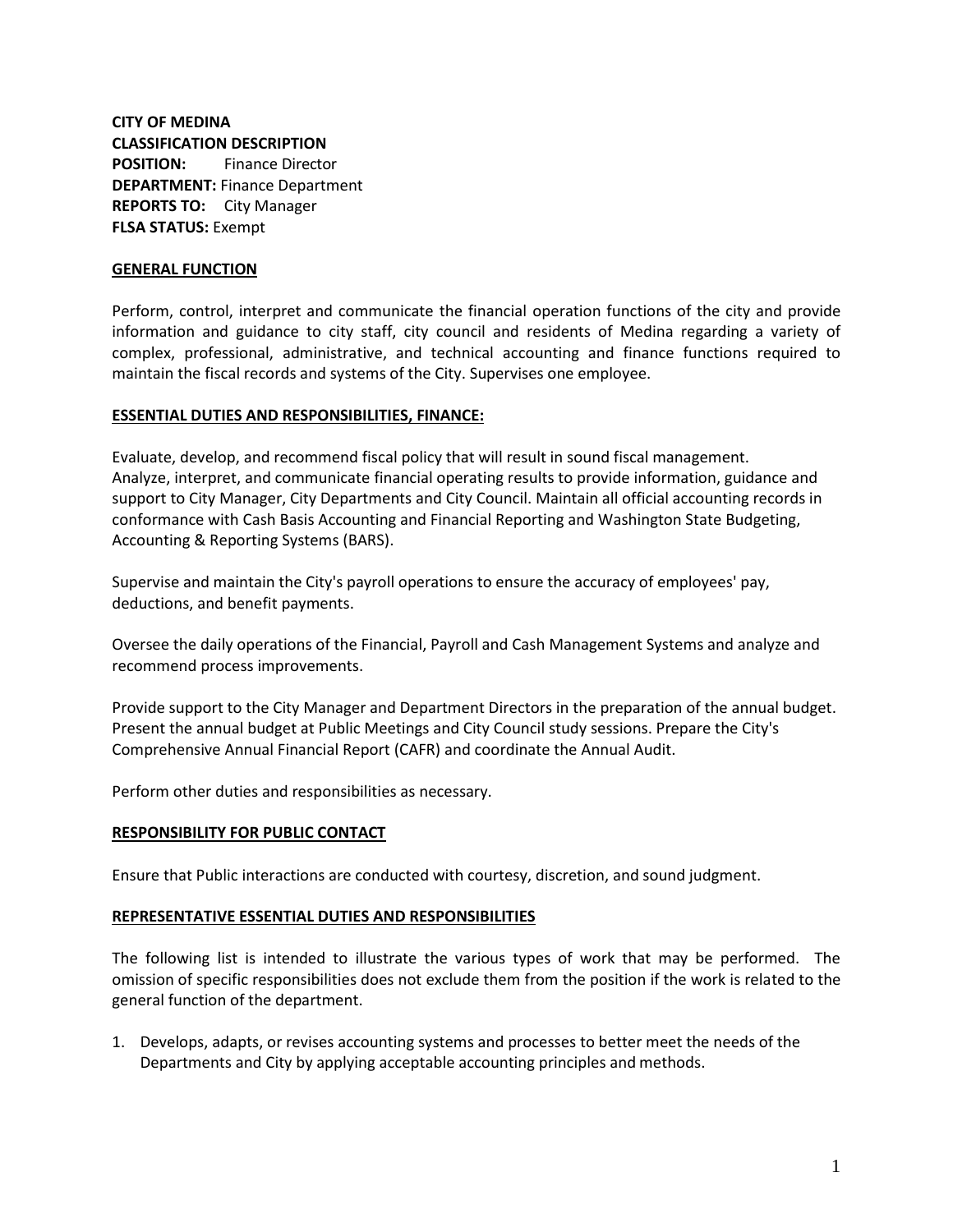# **CITY OF MEDINA CLASSIFICATION DESCRIPTION POSITION:** Finance Director **DEPARTMENT:** Finance Department **REPORTS TO:** City Manager **FLSA STATUS:** Exempt

#### **GENERAL FUNCTION**

Perform, control, interpret and communicate the financial operation functions of the city and provide information and guidance to city staff, city council and residents of Medina regarding a variety of complex, professional, administrative, and technical accounting and finance functions required to maintain the fiscal records and systems of the City. Supervises one employee.

#### **ESSENTIAL DUTIES AND RESPONSIBILITIES, FINANCE:**

Evaluate, develop, and recommend fiscal policy that will result in sound fiscal management. Analyze, interpret, and communicate financial operating results to provide information, guidance and support to City Manager, City Departments and City Council. Maintain all official accounting records in conformance with Cash Basis Accounting and Financial Reporting and Washington State Budgeting, Accounting & Reporting Systems (BARS).

Supervise and maintain the City's payroll operations to ensure the accuracy of employees' pay, deductions, and benefit payments.

Oversee the daily operations of the Financial, Payroll and Cash Management Systems and analyze and recommend process improvements.

Provide support to the City Manager and Department Directors in the preparation of the annual budget. Present the annual budget at Public Meetings and City Council study sessions. Prepare the City's Comprehensive Annual Financial Report (CAFR) and coordinate the Annual Audit.

Perform other duties and responsibilities as necessary.

## **RESPONSIBILITY FOR PUBLIC CONTACT**

Ensure that Public interactions are conducted with courtesy, discretion, and sound judgment.

#### **REPRESENTATIVE ESSENTIAL DUTIES AND RESPONSIBILITIES**

The following list is intended to illustrate the various types of work that may be performed. The omission of specific responsibilities does not exclude them from the position if the work is related to the general function of the department.

1. Develops, adapts, or revises accounting systems and processes to better meet the needs of the Departments and City by applying acceptable accounting principles and methods.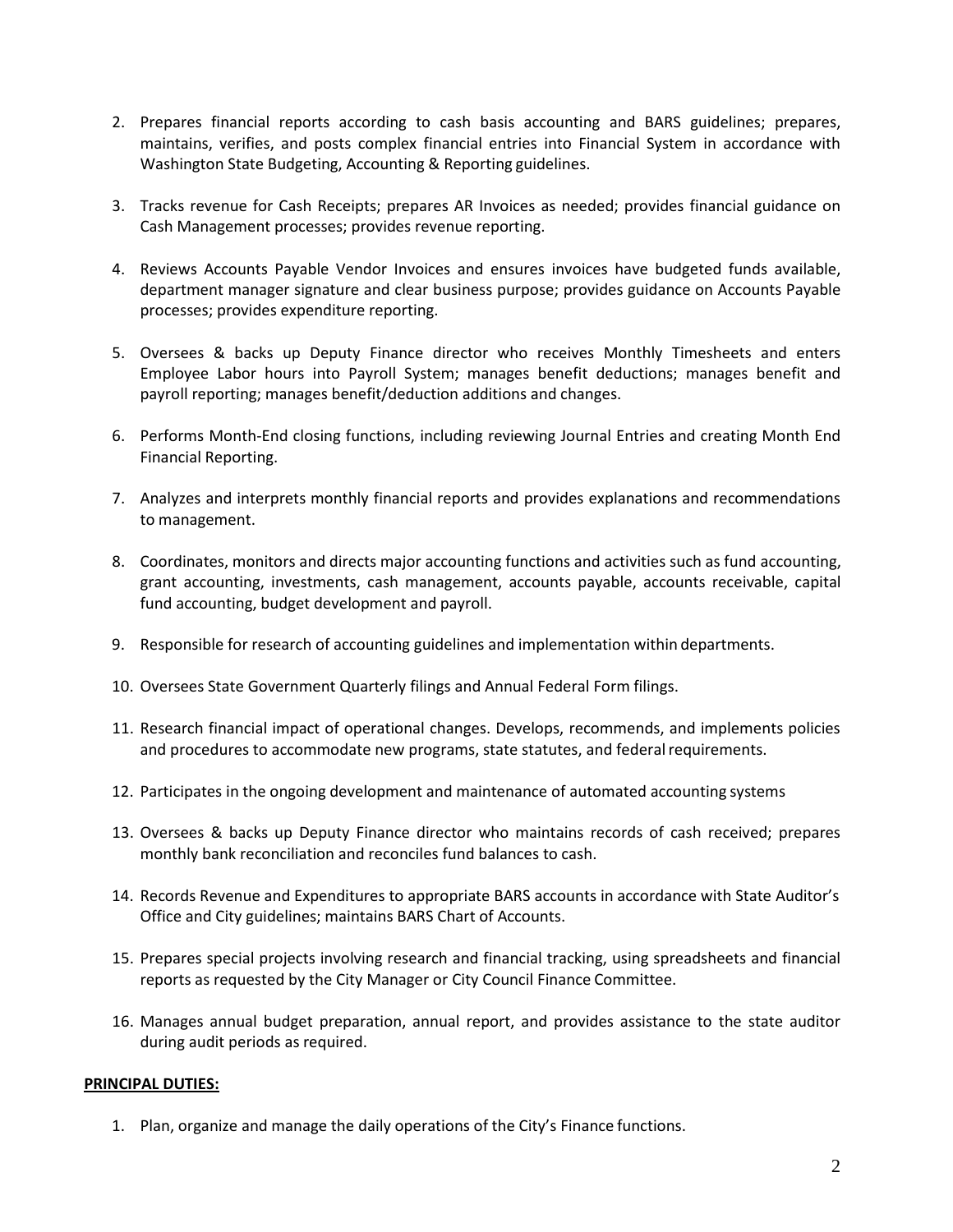- 2. Prepares financial reports according to cash basis accounting and BARS guidelines; prepares, maintains, verifies, and posts complex financial entries into Financial System in accordance with Washington State Budgeting, Accounting & Reporting guidelines.
- 3. Tracks revenue for Cash Receipts; prepares AR Invoices as needed; provides financial guidance on Cash Management processes; provides revenue reporting.
- 4. Reviews Accounts Payable Vendor Invoices and ensures invoices have budgeted funds available, department manager signature and clear business purpose; provides guidance on Accounts Payable processes; provides expenditure reporting.
- 5. Oversees & backs up Deputy Finance director who receives Monthly Timesheets and enters Employee Labor hours into Payroll System; manages benefit deductions; manages benefit and payroll reporting; manages benefit/deduction additions and changes.
- 6. Performs Month-End closing functions, including reviewing Journal Entries and creating Month End Financial Reporting.
- 7. Analyzes and interprets monthly financial reports and provides explanations and recommendations to management.
- 8. Coordinates, monitors and directs major accounting functions and activities such as fund accounting, grant accounting, investments, cash management, accounts payable, accounts receivable, capital fund accounting, budget development and payroll.
- 9. Responsible for research of accounting guidelines and implementation within departments.
- 10. Oversees State Government Quarterly filings and Annual Federal Form filings.
- 11. Research financial impact of operational changes. Develops, recommends, and implements policies and procedures to accommodate new programs, state statutes, and federal requirements.
- 12. Participates in the ongoing development and maintenance of automated accounting systems
- 13. Oversees & backs up Deputy Finance director who maintains records of cash received; prepares monthly bank reconciliation and reconciles fund balances to cash.
- 14. Records Revenue and Expenditures to appropriate BARS accounts in accordance with State Auditor's Office and City guidelines; maintains BARS Chart of Accounts.
- 15. Prepares special projects involving research and financial tracking, using spreadsheets and financial reports as requested by the City Manager or City Council Finance Committee.
- 16. Manages annual budget preparation, annual report, and provides assistance to the state auditor during audit periods as required.

#### **PRINCIPAL DUTIES:**

1. Plan, organize and manage the daily operations of the City's Finance functions.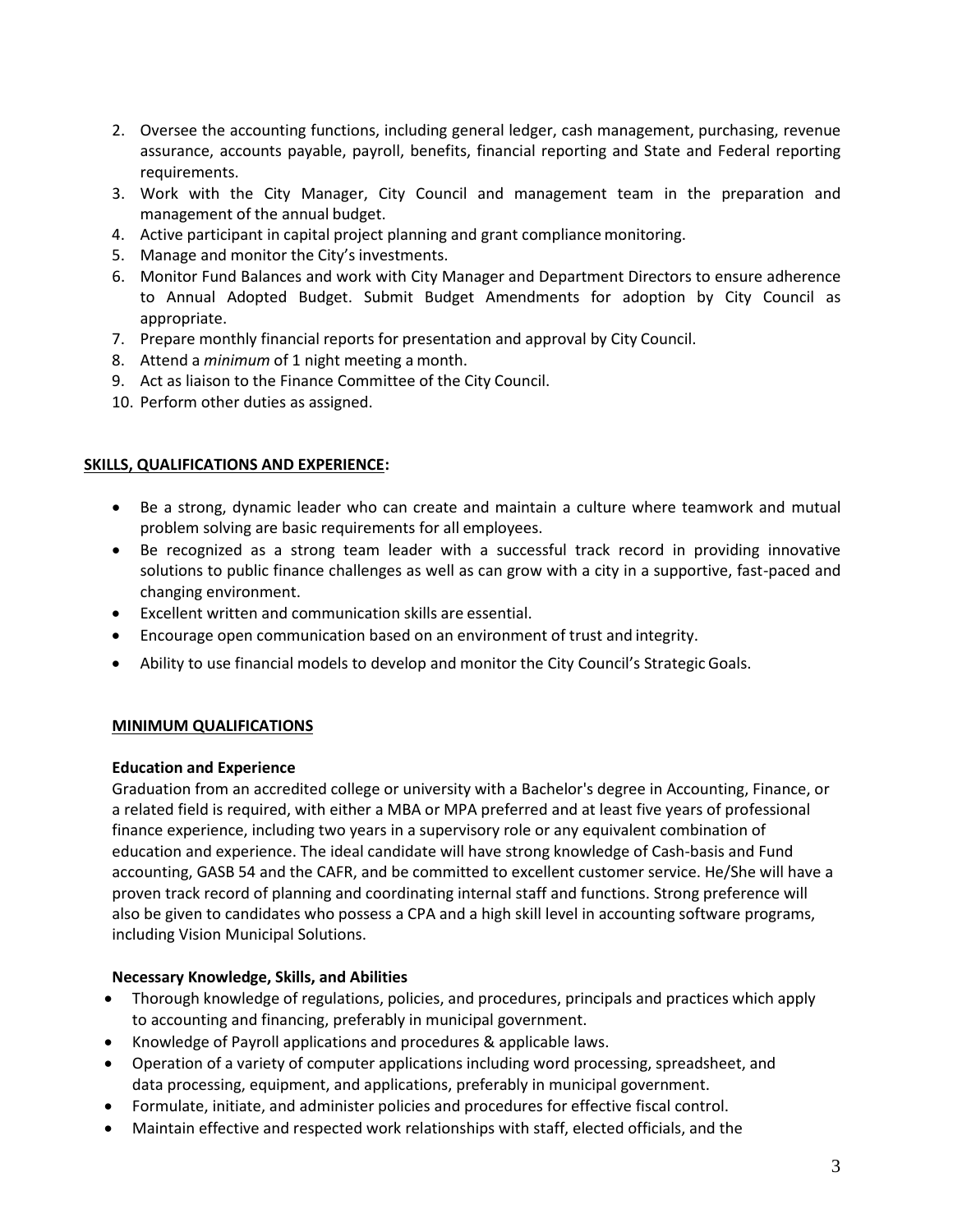- 2. Oversee the accounting functions, including general ledger, cash management, purchasing, revenue assurance, accounts payable, payroll, benefits, financial reporting and State and Federal reporting requirements.
- 3. Work with the City Manager, City Council and management team in the preparation and management of the annual budget.
- 4. Active participant in capital project planning and grant compliance monitoring.
- 5. Manage and monitor the City's investments.
- 6. Monitor Fund Balances and work with City Manager and Department Directors to ensure adherence to Annual Adopted Budget. Submit Budget Amendments for adoption by City Council as appropriate.
- 7. Prepare monthly financial reports for presentation and approval by City Council.
- 8. Attend a *minimum* of 1 night meeting a month.
- 9. Act as liaison to the Finance Committee of the City Council.
- 10. Perform other duties as assigned.

## **SKILLS, QUALIFICATIONS AND EXPERIENCE:**

- Be a strong, dynamic leader who can create and maintain a culture where teamwork and mutual problem solving are basic requirements for all employees.
- Be recognized as a strong team leader with a successful track record in providing innovative solutions to public finance challenges as well as can grow with a city in a supportive, fast-paced and changing environment.
- Excellent written and communication skills are essential.
- Encourage open communication based on an environment of trust and integrity.
- Ability to use financial models to develop and monitor the City Council's Strategic Goals.

## **MINIMUM QUALIFICATIONS**

## **Education and Experience**

Graduation from an accredited college or university with a Bachelor's degree in Accounting, Finance, or a related field is required, with either a MBA or MPA preferred and at least five years of professional finance experience, including two years in a supervisory role or any equivalent combination of education and experience. The ideal candidate will have strong knowledge of Cash-basis and Fund accounting, GASB 54 and the CAFR, and be committed to excellent customer service. He/She will have a proven track record of planning and coordinating internal staff and functions. Strong preference will also be given to candidates who possess a CPA and a high skill level in accounting software programs, including Vision Municipal Solutions.

## **Necessary Knowledge, Skills, and Abilities**

- Thorough knowledge of regulations, policies, and procedures, principals and practices which apply to accounting and financing, preferably in municipal government.
- Knowledge of Payroll applications and procedures & applicable laws.
- Operation of a variety of computer applications including word processing, spreadsheet, and data processing, equipment, and applications, preferably in municipal government.
- Formulate, initiate, and administer policies and procedures for effective fiscal control.
- Maintain effective and respected work relationships with staff, elected officials, and the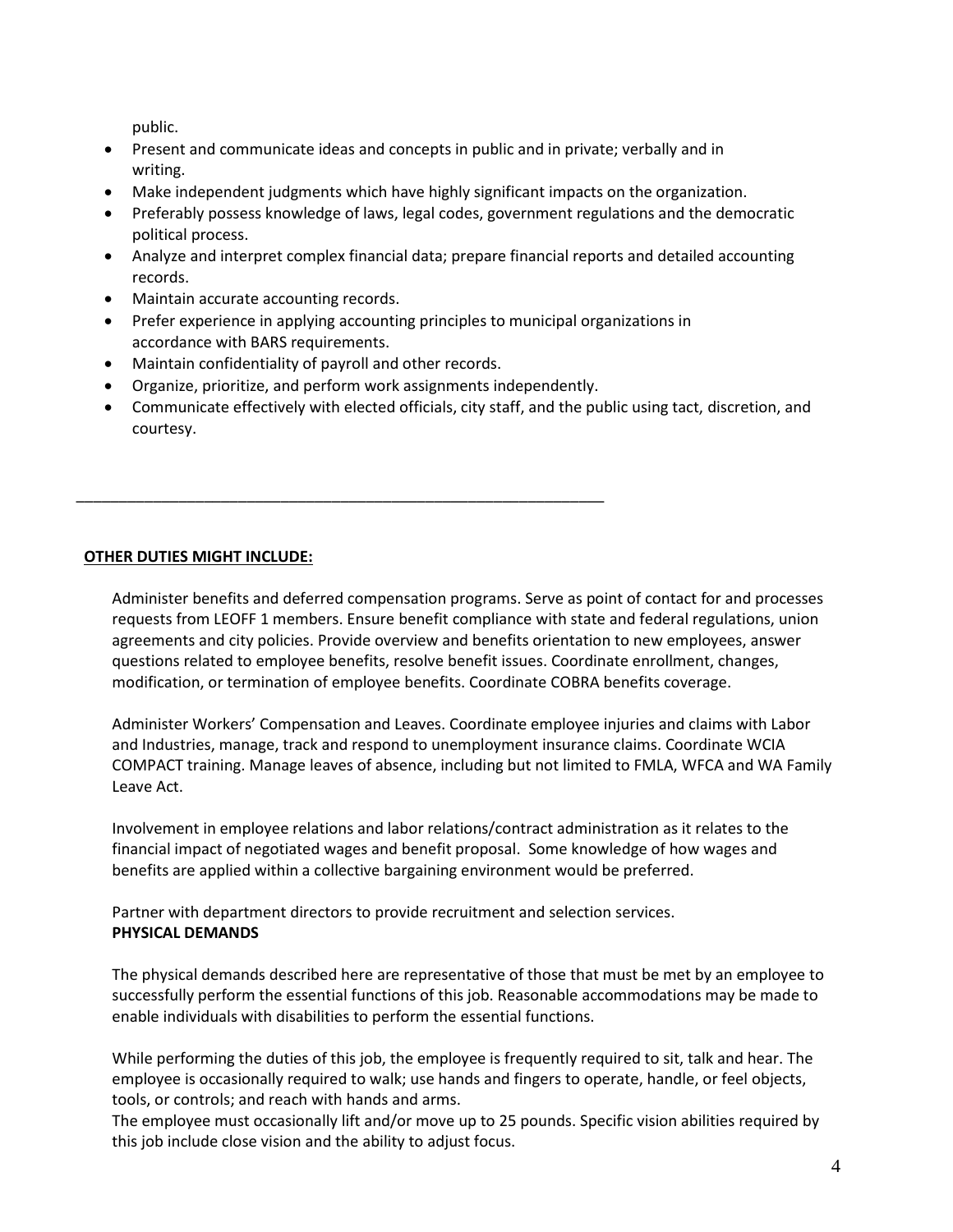public.

- Present and communicate ideas and concepts in public and in private; verbally and in writing.
- Make independent judgments which have highly significant impacts on the organization.
- Preferably possess knowledge of laws, legal codes, government regulations and the democratic political process.
- Analyze and interpret complex financial data; prepare financial reports and detailed accounting records.
- Maintain accurate accounting records.
- Prefer experience in applying accounting principles to municipal organizations in accordance with BARS requirements.
- Maintain confidentiality of payroll and other records.
- Organize, prioritize, and perform work assignments independently.

\_\_\_\_\_\_\_\_\_\_\_\_\_\_\_\_\_\_\_\_\_\_\_\_\_\_\_\_\_\_\_\_\_\_\_\_\_\_\_\_\_\_\_\_\_\_\_\_\_\_\_\_\_\_\_\_\_\_\_\_\_\_

• Communicate effectively with elected officials, city staff, and the public using tact, discretion, and courtesy.

# **OTHER DUTIES MIGHT INCLUDE:**

Administer benefits and deferred compensation programs. Serve as point of contact for and processes requests from LEOFF 1 members. Ensure benefit compliance with state and federal regulations, union agreements and city policies. Provide overview and benefits orientation to new employees, answer questions related to employee benefits, resolve benefit issues. Coordinate enrollment, changes, modification, or termination of employee benefits. Coordinate COBRA benefits coverage.

Administer Workers' Compensation and Leaves. Coordinate employee injuries and claims with Labor and Industries, manage, track and respond to unemployment insurance claims. Coordinate WCIA COMPACT training. Manage leaves of absence, including but not limited to FMLA, WFCA and WA Family Leave Act.

Involvement in employee relations and labor relations/contract administration as it relates to the financial impact of negotiated wages and benefit proposal. Some knowledge of how wages and benefits are applied within a collective bargaining environment would be preferred.

Partner with department directors to provide recruitment and selection services. **PHYSICAL DEMANDS**

The physical demands described here are representative of those that must be met by an employee to successfully perform the essential functions of this job. Reasonable accommodations may be made to enable individuals with disabilities to perform the essential functions.

While performing the duties of this job, the employee is frequently required to sit, talk and hear. The employee is occasionally required to walk; use hands and fingers to operate, handle, or feel objects, tools, or controls; and reach with hands and arms.

The employee must occasionally lift and/or move up to 25 pounds. Specific vision abilities required by this job include close vision and the ability to adjust focus.